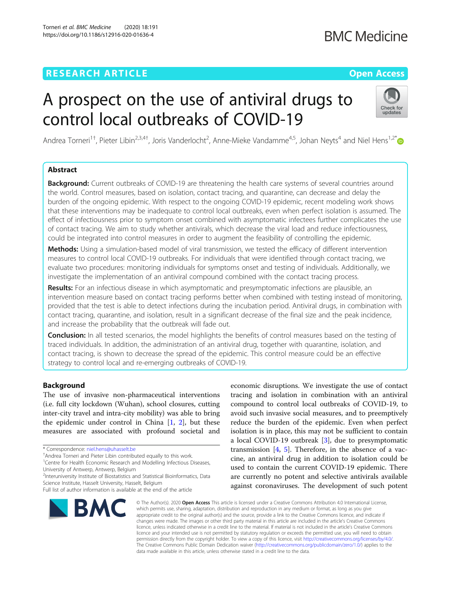### **RESEARCH ARTICLE Example 2014 12:30 The Company Access Open Access**

## **BMC Medicine**

# A prospect on the use of antiviral drugs to control local outbreaks of COVID-19



Andrea Torneri<sup>1†</sup>, Pieter Libin<sup>2,3,4†</sup>, Joris Vanderlocht<sup>2</sup>, Anne-Mieke Vandamme<sup>4,5</sup>, Johan Neyts<sup>4</sup> and Niel Hens<sup>1,2\*</sup>

### Abstract

**Background:** Current outbreaks of COVID-19 are threatening the health care systems of several countries around the world. Control measures, based on isolation, contact tracing, and quarantine, can decrease and delay the burden of the ongoing epidemic. With respect to the ongoing COVID-19 epidemic, recent modeling work shows that these interventions may be inadequate to control local outbreaks, even when perfect isolation is assumed. The effect of infectiousness prior to symptom onset combined with asymptomatic infectees further complicates the use of contact tracing. We aim to study whether antivirals, which decrease the viral load and reduce infectiousness, could be integrated into control measures in order to augment the feasibility of controlling the epidemic.

Methods: Using a simulation-based model of viral transmission, we tested the efficacy of different intervention measures to control local COVID-19 outbreaks. For individuals that were identified through contact tracing, we evaluate two procedures: monitoring individuals for symptoms onset and testing of individuals. Additionally, we investigate the implementation of an antiviral compound combined with the contact tracing process.

Results: For an infectious disease in which asymptomatic and presymptomatic infections are plausible, an intervention measure based on contact tracing performs better when combined with testing instead of monitoring, provided that the test is able to detect infections during the incubation period. Antiviral drugs, in combination with contact tracing, quarantine, and isolation, result in a significant decrease of the final size and the peak incidence, and increase the probability that the outbreak will fade out.

**Conclusion:** In all tested scenarios, the model highlights the benefits of control measures based on the testing of traced individuals. In addition, the administration of an antiviral drug, together with quarantine, isolation, and contact tracing, is shown to decrease the spread of the epidemic. This control measure could be an effective strategy to control local and re-emerging outbreaks of COVID-19.

#### Background

The use of invasive non-pharmaceutical interventions (i.e. full city lockdown (Wuhan), school closures, cutting inter-city travel and intra-city mobility) was able to bring the epidemic under control in China  $[1, 2]$  $[1, 2]$  $[1, 2]$ , but these measures are associated with profound societal and

<sup>1</sup>Centre for Health Economic Research and Modelling Infectious Diseases, University of Antwerp, Antwerp, Belgium

<sup>2</sup>Interuniversity Institute of Biostatistics and Statistical Bioinformatics, Data Science Institute, Hasselt University, Hasselt, Belgium

Full list of author information is available at the end of the article



economic disruptions. We investigate the use of contact tracing and isolation in combination with an antiviral compound to control local outbreaks of COVID-19, to avoid such invasive social measures, and to preemptively reduce the burden of the epidemic. Even when perfect isolation is in place, this may not be sufficient to contain a local COVID-19 outbreak [[3\]](#page-7-0), due to presymptomatic transmission  $[4, 5]$  $[4, 5]$  $[4, 5]$  $[4, 5]$ . Therefore, in the absence of a vaccine, an antiviral drug in addition to isolation could be used to contain the current COVID-19 epidemic. There are currently no potent and selective antivirals available against coronaviruses. The development of such potent

© The Author(s), 2020 **Open Access** This article is licensed under a Creative Commons Attribution 4.0 International License, which permits use, sharing, adaptation, distribution and reproduction in any medium or format, as long as you give appropriate credit to the original author(s) and the source, provide a link to the Creative Commons licence, and indicate if changes were made. The images or other third party material in this article are included in the article's Creative Commons licence, unless indicated otherwise in a credit line to the material. If material is not included in the article's Creative Commons licence and your intended use is not permitted by statutory regulation or exceeds the permitted use, you will need to obtain permission directly from the copyright holder. To view a copy of this licence, visit [http://creativecommons.org/licenses/by/4.0/.](http://creativecommons.org/licenses/by/4.0/) The Creative Commons Public Domain Dedication waiver [\(http://creativecommons.org/publicdomain/zero/1.0/](http://creativecommons.org/publicdomain/zero/1.0/)) applies to the data made available in this article, unless otherwise stated in a credit line to the data.

<sup>\*</sup> Correspondence: [niel.hens@uhasselt.be](mailto:niel.hens@uhasselt.be) †

<sup>&</sup>lt;sup>+</sup>Andrea Torneri and Pieter Libin contributed equally to this work.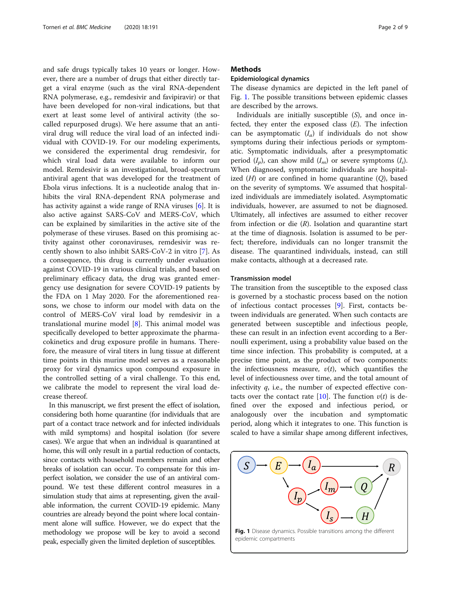and safe drugs typically takes 10 years or longer. However, there are a number of drugs that either directly target a viral enzyme (such as the viral RNA-dependent RNA polymerase, e.g., remdesivir and favipiravir) or that have been developed for non-viral indications, but that exert at least some level of antiviral activity (the socalled repurposed drugs). We here assume that an antiviral drug will reduce the viral load of an infected individual with COVID-19. For our modeling experiments, we considered the experimental drug remdesivir, for which viral load data were available to inform our model. Remdesivir is an investigational, broad-spectrum antiviral agent that was developed for the treatment of Ebola virus infections. It is a nucleotide analog that inhibits the viral RNA-dependent RNA polymerase and has activity against a wide range of RNA viruses [\[6](#page-7-0)]. It is also active against SARS-CoV and MERS-CoV, which can be explained by similarities in the active site of the polymerase of these viruses. Based on this promising activity against other coronaviruses, remdesivir was recently shown to also inhibit SARS-CoV-2 in vitro [[7](#page-8-0)]. As a consequence, this drug is currently under evaluation against COVID-19 in various clinical trials, and based on preliminary efficacy data, the drug was granted emergency use designation for severe COVID-19 patients by the FDA on 1 May 2020. For the aforementioned reasons, we chose to inform our model with data on the control of MERS-CoV viral load by remdesivir in a translational murine model [[8\]](#page-8-0). This animal model was specifically developed to better approximate the pharmacokinetics and drug exposure profile in humans. Therefore, the measure of viral titers in lung tissue at different time points in this murine model serves as a reasonable proxy for viral dynamics upon compound exposure in the controlled setting of a viral challenge. To this end, we calibrate the model to represent the viral load decrease thereof.

In this manuscript, we first present the effect of isolation, considering both home quarantine (for individuals that are part of a contact trace network and for infected individuals with mild symptoms) and hospital isolation (for severe cases). We argue that when an individual is quarantined at home, this will only result in a partial reduction of contacts, since contacts with household members remain and other breaks of isolation can occur. To compensate for this imperfect isolation, we consider the use of an antiviral compound. We test these different control measures in a simulation study that aims at representing, given the available information, the current COVID-19 epidemic. Many countries are already beyond the point where local containment alone will suffice. However, we do expect that the methodology we propose will be key to avoid a second peak, especially given the limited depletion of susceptibles.

#### **Methods**

#### Epidemiological dynamics

The disease dynamics are depicted in the left panel of Fig. 1. The possible transitions between epidemic classes are described by the arrows.

Individuals are initially susceptible (S), and once infected, they enter the exposed class  $(E)$ . The infection can be asymptomatic  $(I_a)$  if individuals do not show symptoms during their infectious periods or symptomatic. Symptomatic individuals, after a presymptomatic period  $(I_p)$ , can show mild  $(I_m)$  or severe symptoms  $(I_s)$ . When diagnosed, symptomatic individuals are hospitalized  $(H)$  or are confined in home quarantine  $(Q)$ , based on the severity of symptoms. We assumed that hospitalized individuals are immediately isolated. Asymptomatic individuals, however, are assumed to not be diagnosed. Ultimately, all infectives are assumed to either recover from infection or die  $(R)$ . Isolation and quarantine start at the time of diagnosis. Isolation is assumed to be perfect; therefore, individuals can no longer transmit the disease. The quarantined individuals, instead, can still make contacts, although at a decreased rate.

#### Transmission model

The transition from the susceptible to the exposed class is governed by a stochastic process based on the notion of infectious contact processes [\[9](#page-8-0)]. First, contacts between individuals are generated. When such contacts are generated between susceptible and infectious people, these can result in an infection event according to a Bernoulli experiment, using a probability value based on the time since infection. This probability is computed, at a precise time point, as the product of two components: the infectiousness measure,  $v(t)$ , which quantifies the level of infectiousness over time, and the total amount of infectivity  $q$ , i.e., the number of expected effective con-tacts over the contact rate [\[10\]](#page-8-0). The function  $v(t)$  is defined over the exposed and infectious period, or analogously over the incubation and symptomatic period, along which it integrates to one. This function is scaled to have a similar shape among different infectives,

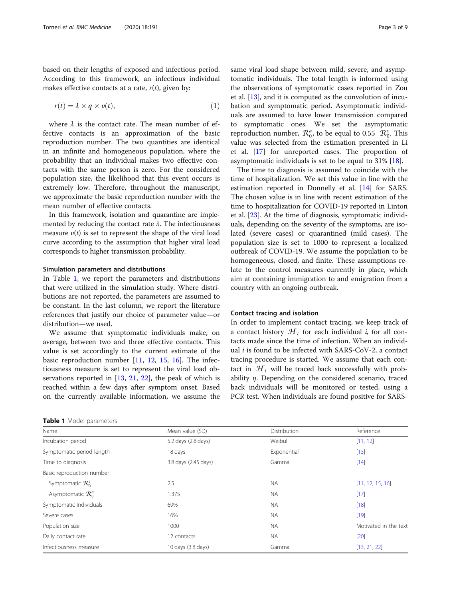based on their lengths of exposed and infectious period. According to this framework, an infectious individual makes effective contacts at a rate,  $r(t)$ , given by:

$$
r(t) = \lambda \times q \times v(t), \tag{1}
$$

where  $\lambda$  is the contact rate. The mean number of effective contacts is an approximation of the basic reproduction number. The two quantities are identical in an infinite and homogeneous population, where the probability that an individual makes two effective contacts with the same person is zero. For the considered population size, the likelihood that this event occurs is extremely low. Therefore, throughout the manuscript, we approximate the basic reproduction number with the mean number of effective contacts.

In this framework, isolation and quarantine are implemented by reducing the contact rate  $\lambda$ . The infectiousness measure  $v(t)$  is set to represent the shape of the viral load curve according to the assumption that higher viral load corresponds to higher transmission probability.

#### Simulation parameters and distributions

In Table 1, we report the parameters and distributions that were utilized in the simulation study. Where distributions are not reported, the parameters are assumed to be constant. In the last column, we report the literature references that justify our choice of parameter value—or distribution—we used.

We assume that symptomatic individuals make, on average, between two and three effective contacts. This value is set accordingly to the current estimate of the basic reproduction number [\[11](#page-8-0), [12,](#page-8-0) [15,](#page-8-0) [16](#page-8-0)]. The infectiousness measure is set to represent the viral load observations reported in [[13,](#page-8-0) [21](#page-8-0), [22\]](#page-8-0), the peak of which is reached within a few days after symptom onset. Based on the currently available information, we assume the

| Table 1 Model parameters |  |
|--------------------------|--|
|--------------------------|--|

same viral load shape between mild, severe, and asymptomatic individuals. The total length is informed using the observations of symptomatic cases reported in Zou et al. [\[13](#page-8-0)], and it is computed as the convolution of incubation and symptomatic period. Asymptomatic individuals are assumed to have lower transmission compared to symptomatic ones. We set the asymptomatic reproduction number,  $\mathcal{R}_0^a$ , to be equal to 0.55  $\mathcal{R}_0^s$ . This value was selected from the estimation presented in Li et al. [[17](#page-8-0)] for unreported cases. The proportion of asymptomatic individuals is set to be equal to 31% [[18\]](#page-8-0).

The time to diagnosis is assumed to coincide with the time of hospitalization. We set this value in line with the estimation reported in Donnelly et al. [\[14](#page-8-0)] for SARS. The chosen value is in line with recent estimation of the time to hospitalization for COVID-19 reported in Linton et al. [\[23](#page-8-0)]. At the time of diagnosis, symptomatic individuals, depending on the severity of the symptoms, are isolated (severe cases) or quarantined (mild cases). The population size is set to 1000 to represent a localized outbreak of COVID-19. We assume the population to be homogeneous, closed, and finite. These assumptions relate to the control measures currently in place, which aim at containing immigration to and emigration from a country with an ongoing outbreak.

#### Contact tracing and isolation

In order to implement contact tracing, we keep track of a contact history  $\mathcal{H}_i$  for each individual i, for all contacts made since the time of infection. When an individual  $i$  is found to be infected with SARS-CoV-2, a contact tracing procedure is started. We assume that each contact in  $\mathcal{H}_i$  will be traced back successfully with probability  $\eta$ . Depending on the considered scenario, traced back individuals will be monitored or tested, using a PCR test. When individuals are found positive for SARS-

| Name                           | Mean value (SD)      | Distribution | Reference             |
|--------------------------------|----------------------|--------------|-----------------------|
| Incubation period              | 5.2 days (2.8 days)  | Weibull      | [11, 12]              |
| Symptomatic period length      | 18 days              | Exponential  | $[13]$                |
| Time to diagnosis              | 3.8 days (2.45 days) | Gamma        | $[14]$                |
| Basic reproduction number      |                      |              |                       |
| Symptomatic $\mathcal{R}^s_0$  | 2.5                  | <b>NA</b>    | [11, 12, 15, 16]      |
| Asymptomatic $\mathcal{R}_0^a$ | 1.375                | <b>NA</b>    | [17]                  |
| Symptomatic Individuals        | 69%                  | <b>NA</b>    | $[18]$                |
| Severe cases                   | 16%                  | <b>NA</b>    | $[19]$                |
| Population size                | 1000                 | <b>NA</b>    | Motivated in the text |
| Daily contact rate             | 12 contacts          | <b>NA</b>    | $[20]$                |
| Infectiousness measure         | 10 days (3.8 days)   | Gamma        | [13, 21, 22]          |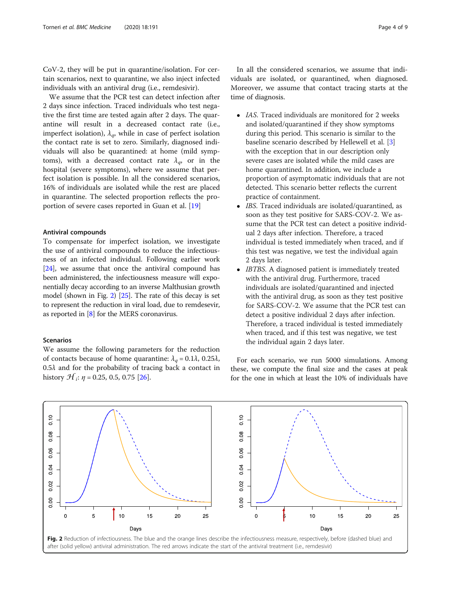CoV-2, they will be put in quarantine/isolation. For certain scenarios, next to quarantine, we also inject infected individuals with an antiviral drug (i.e., remdesivir).

We assume that the PCR test can detect infection after 2 days since infection. Traced individuals who test negative the first time are tested again after 2 days. The quarantine will result in a decreased contact rate (i.e., imperfect isolation),  $\lambda_a$ , while in case of perfect isolation the contact rate is set to zero. Similarly, diagnosed individuals will also be quarantined: at home (mild symptoms), with a decreased contact rate  $\lambda_a$ , or in the hospital (severe symptoms), where we assume that perfect isolation is possible. In all the considered scenarios, 16% of individuals are isolated while the rest are placed in quarantine. The selected proportion reflects the proportion of severe cases reported in Guan et al. [\[19](#page-8-0)]

#### Antiviral compounds

To compensate for imperfect isolation, we investigate the use of antiviral compounds to reduce the infectiousness of an infected individual. Following earlier work [[24](#page-8-0)], we assume that once the antiviral compound has been administered, the infectiousness measure will exponentially decay according to an inverse Malthusian growth model (shown in Fig. 2) [[25\]](#page-8-0). The rate of this decay is set to represent the reduction in viral load, due to remdesevir, as reported in [[8](#page-8-0)] for the MERS coronavirus.

#### Scenarios

We assume the following parameters for the reduction of contacts because of home quarantine:  $\lambda_q = 0.1\lambda$ , 0.25 $\lambda$ ,  $0.5\lambda$  and for the probability of tracing back a contact in history  $\mathcal{H}_i$ :  $\eta$  = 0.25, 0.5, 0.75 [\[26](#page-8-0)].

In all the considered scenarios, we assume that individuals are isolated, or quarantined, when diagnosed. Moreover, we assume that contact tracing starts at the time of diagnosis.

- IAS. Traced individuals are monitored for 2 weeks and isolated/quarantined if they show symptoms during this period. This scenario is similar to the baseline scenario described by Hellewell et al. [\[3](#page-7-0)] with the exception that in our description only severe cases are isolated while the mild cases are home quarantined. In addition, we include a proportion of asymptomatic individuals that are not detected. This scenario better reflects the current practice of containment.
- IBS. Traced individuals are isolated/quarantined, as soon as they test positive for SARS-COV-2. We assume that the PCR test can detect a positive individual 2 days after infection. Therefore, a traced individual is tested immediately when traced, and if this test was negative, we test the individual again 2 days later.
- *IBTBS*. A diagnosed patient is immediately treated with the antiviral drug. Furthermore, traced individuals are isolated/quarantined and injected with the antiviral drug, as soon as they test positive for SARS-COV-2. We assume that the PCR test can detect a positive individual 2 days after infection. Therefore, a traced individual is tested immediately when traced, and if this test was negative, we test the individual again 2 days later.

For each scenario, we run 5000 simulations. Among these, we compute the final size and the cases at peak for the one in which at least the 10% of individuals have

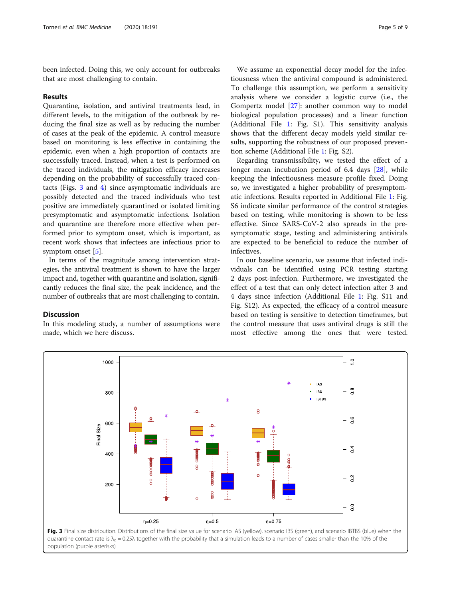been infected. Doing this, we only account for outbreaks that are most challenging to contain.

#### Results

Quarantine, isolation, and antiviral treatments lead, in different levels, to the mitigation of the outbreak by reducing the final size as well as by reducing the number of cases at the peak of the epidemic. A control measure based on monitoring is less effective in containing the epidemic, even when a high proportion of contacts are successfully traced. Instead, when a test is performed on the traced individuals, the mitigation efficacy increases depending on the probability of successfully traced contacts (Figs. 3 and [4\)](#page-5-0) since asymptomatic individuals are possibly detected and the traced individuals who test positive are immediately quarantined or isolated limiting presymptomatic and asymptomatic infections. Isolation and quarantine are therefore more effective when performed prior to symptom onset, which is important, as recent work shows that infectees are infectious prior to symptom onset [[5\]](#page-7-0).

In terms of the magnitude among intervention strategies, the antiviral treatment is shown to have the larger impact and, together with quarantine and isolation, significantly reduces the final size, the peak incidence, and the number of outbreaks that are most challenging to contain.

#### Discussion

In this modeling study, a number of assumptions were made, which we here discuss.

We assume an exponential decay model for the infectiousness when the antiviral compound is administered. To challenge this assumption, we perform a sensitivity analysis where we consider a logistic curve (i.e., the Gompertz model [[27\]](#page-8-0): another common way to model biological population processes) and a linear function (Additional File [1:](#page-7-0) Fig. S1). This sensitivity analysis shows that the different decay models yield similar results, supporting the robustness of our proposed prevention scheme (Additional File [1](#page-7-0): Fig. S2).

Regarding transmissibility, we tested the effect of a longer mean incubation period of 6.4 days [[28\]](#page-8-0), while keeping the infectiousness measure profile fixed. Doing so, we investigated a higher probability of presymptomatic infections. Results reported in Additional File [1:](#page-7-0) Fig. S6 indicate similar performance of the control strategies based on testing, while monitoring is shown to be less effective. Since SARS-CoV-2 also spreads in the presymptomatic stage, testing and administering antivirals are expected to be beneficial to reduce the number of infectives.

In our baseline scenario, we assume that infected individuals can be identified using PCR testing starting 2 days post-infection. Furthermore, we investigated the effect of a test that can only detect infection after 3 and 4 days since infection (Additional File [1:](#page-7-0) Fig. S11 and Fig. S12). As expected, the efficacy of a control measure based on testing is sensitive to detection timeframes, but the control measure that uses antiviral drugs is still the most effective among the ones that were tested.



population (purple asterisks)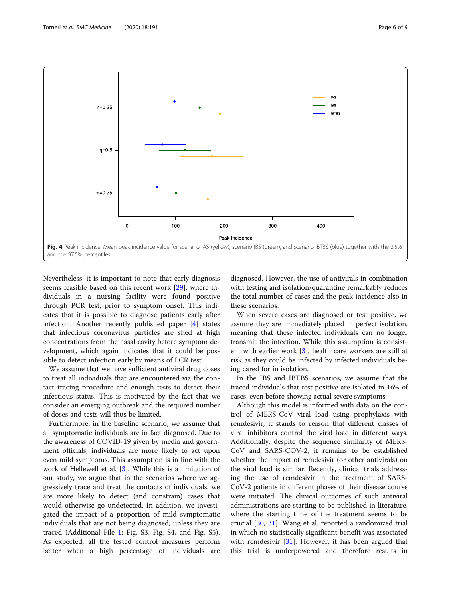<span id="page-5-0"></span>

Nevertheless, it is important to note that early diagnosis seems feasible based on this recent work [\[29](#page-8-0)], where individuals in a nursing facility were found positive through PCR test, prior to symptom onset. This indicates that it is possible to diagnose patients early after infection. Another recently published paper [\[4](#page-7-0)] states that infectious coronavirus particles are shed at high concentrations from the nasal cavity before symptom development, which again indicates that it could be possible to detect infection early by means of PCR test.

We assume that we have sufficient antiviral drug doses to treat all individuals that are encountered via the contact tracing procedure and enough tests to detect their infectious status. This is motivated by the fact that we consider an emerging outbreak and the required number of doses and tests will thus be limited.

Furthermore, in the baseline scenario, we assume that all symptomatic individuals are in fact diagnosed. Due to the awareness of COVID-19 given by media and government officials, individuals are more likely to act upon even mild symptoms. This assumption is in line with the work of Hellewell et al. [[3\]](#page-7-0). While this is a limitation of our study, we argue that in the scenarios where we aggressively trace and treat the contacts of individuals, we are more likely to detect (and constrain) cases that would otherwise go undetected. In addition, we investigated the impact of a proportion of mild symptomatic individuals that are not being diagnosed, unless they are traced (Additional File [1:](#page-7-0) Fig. S3, Fig. S4, and Fig. S5). As expected, all the tested control measures perform better when a high percentage of individuals are diagnosed. However, the use of antivirals in combination with testing and isolation/quarantine remarkably reduces the total number of cases and the peak incidence also in these scenarios.

When severe cases are diagnosed or test positive, we assume they are immediately placed in perfect isolation, meaning that these infected individuals can no longer transmit the infection. While this assumption is consistent with earlier work [[3\]](#page-7-0), health care workers are still at risk as they could be infected by infected individuals being cared for in isolation.

In the IBS and IBTBS scenarios, we assume that the traced individuals that test positive are isolated in 16% of cases, even before showing actual severe symptoms.

Although this model is informed with data on the control of MERS-CoV viral load using prophylaxis with remdesivir, it stands to reason that different classes of viral inhibitors control the viral load in different ways. Additionally, despite the sequence similarity of MERS-CoV and SARS-COV-2, it remains to be established whether the impact of remdesivir (or other antivirals) on the viral load is similar. Recently, clinical trials addressing the use of remdesivir in the treatment of SARS-CoV-2 patients in different phases of their disease course were initiated. The clinical outcomes of such antiviral administrations are starting to be published in literature, where the starting time of the treatment seems to be crucial [[30](#page-8-0), [31\]](#page-8-0). Wang et al. reported a randomized trial in which no statistically significant benefit was associated with remdesivir [\[31\]](#page-8-0). However, it has been argued that this trial is underpowered and therefore results in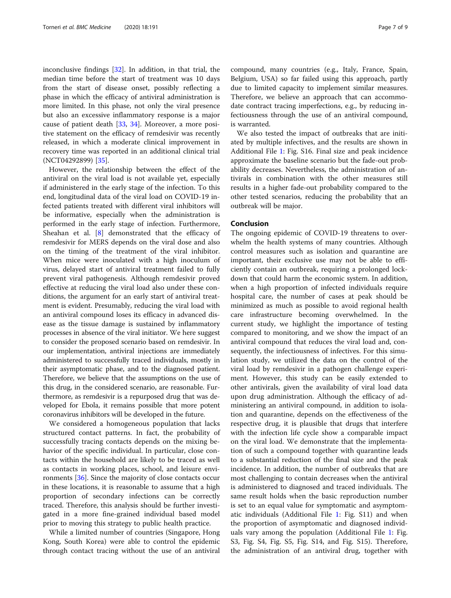inconclusive findings [[32\]](#page-8-0). In addition, in that trial, the median time before the start of treatment was 10 days from the start of disease onset, possibly reflecting a phase in which the efficacy of antiviral administration is more limited. In this phase, not only the viral presence but also an excessive inflammatory response is a major cause of patient death [\[33](#page-8-0), [34\]](#page-8-0). Moreover, a more positive statement on the efficacy of remdesivir was recently released, in which a moderate clinical improvement in recovery time was reported in an additional clinical trial (NCT04292899) [\[35\]](#page-8-0).

However, the relationship between the effect of the antiviral on the viral load is not available yet, especially if administered in the early stage of the infection. To this end, longitudinal data of the viral load on COVID-19 infected patients treated with different viral inhibitors will be informative, especially when the administration is performed in the early stage of infection. Furthermore, Sheahan et al. [[8\]](#page-8-0) demonstrated that the efficacy of remdesivir for MERS depends on the viral dose and also on the timing of the treatment of the viral inhibitor. When mice were inoculated with a high inoculum of virus, delayed start of antiviral treatment failed to fully prevent viral pathogenesis. Although remdesivir proved effective at reducing the viral load also under these conditions, the argument for an early start of antiviral treatment is evident. Presumably, reducing the viral load with an antiviral compound loses its efficacy in advanced disease as the tissue damage is sustained by inflammatory processes in absence of the viral initiator. We here suggest to consider the proposed scenario based on remdesivir. In our implementation, antiviral injections are immediately administered to successfully traced individuals, mostly in their asymptomatic phase, and to the diagnosed patient. Therefore, we believe that the assumptions on the use of this drug, in the considered scenario, are reasonable. Furthermore, as remdesivir is a repurposed drug that was developed for Ebola, it remains possible that more potent coronavirus inhibitors will be developed in the future.

We considered a homogeneous population that lacks structured contact patterns. In fact, the probability of successfully tracing contacts depends on the mixing behavior of the specific individual. In particular, close contacts within the household are likely to be traced as well as contacts in working places, school, and leisure environments [[36\]](#page-8-0). Since the majority of close contacts occur in these locations, it is reasonable to assume that a high proportion of secondary infections can be correctly traced. Therefore, this analysis should be further investigated in a more fine-grained individual based model prior to moving this strategy to public health practice.

While a limited number of countries (Singapore, Hong Kong, South Korea) were able to control the epidemic through contact tracing without the use of an antiviral compound, many countries (e.g., Italy, France, Spain, Belgium, USA) so far failed using this approach, partly due to limited capacity to implement similar measures. Therefore, we believe an approach that can accommodate contract tracing imperfections, e.g., by reducing infectiousness through the use of an antiviral compound, is warranted.

We also tested the impact of outbreaks that are initiated by multiple infectives, and the results are shown in Additional File [1](#page-7-0): Fig. S16. Final size and peak incidence approximate the baseline scenario but the fade-out probability decreases. Nevertheless, the administration of antivirals in combination with the other measures still results in a higher fade-out probability compared to the other tested scenarios, reducing the probability that an outbreak will be major.

#### Conclusion

The ongoing epidemic of COVID-19 threatens to overwhelm the health systems of many countries. Although control measures such as isolation and quarantine are important, their exclusive use may not be able to efficiently contain an outbreak, requiring a prolonged lockdown that could harm the economic system. In addition, when a high proportion of infected individuals require hospital care, the number of cases at peak should be minimized as much as possible to avoid regional health care infrastructure becoming overwhelmed. In the current study, we highlight the importance of testing compared to monitoring, and we show the impact of an antiviral compound that reduces the viral load and, consequently, the infectiousness of infectives. For this simulation study, we utilized the data on the control of the viral load by remdesivir in a pathogen challenge experiment. However, this study can be easily extended to other antivirals, given the availability of viral load data upon drug administration. Although the efficacy of administering an antiviral compound, in addition to isolation and quarantine, depends on the effectiveness of the respective drug, it is plausible that drugs that interfere with the infection life cycle show a comparable impact on the viral load. We demonstrate that the implementation of such a compound together with quarantine leads to a substantial reduction of the final size and the peak incidence. In addition, the number of outbreaks that are most challenging to contain decreases when the antiviral is administered to diagnosed and traced individuals. The same result holds when the basic reproduction number is set to an equal value for symptomatic and asymptomatic individuals (Additional File [1](#page-7-0): Fig. S11) and when the proportion of asymptomatic and diagnosed individuals vary among the population (Additional File [1:](#page-7-0) Fig. S3, Fig. S4, Fig. S5, Fig. S14, and Fig. S15). Therefore, the administration of an antiviral drug, together with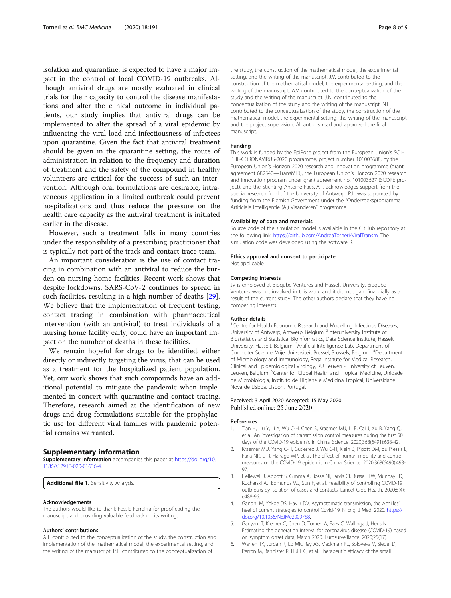<span id="page-7-0"></span>isolation and quarantine, is expected to have a major impact in the control of local COVID-19 outbreaks. Although antiviral drugs are mostly evaluated in clinical trials for their capacity to control the disease manifestations and alter the clinical outcome in individual patients, our study implies that antiviral drugs can be implemented to alter the spread of a viral epidemic by influencing the viral load and infectiousness of infectees upon quarantine. Given the fact that antiviral treatment should be given in the quarantine setting, the route of administration in relation to the frequency and duration of treatment and the safety of the compound in healthy volunteers are critical for the success of such an intervention. Although oral formulations are desirable, intraveneous application in a limited outbreak could prevent hospitalizations and thus reduce the pressure on the health care capacity as the antiviral treatment is initiated earlier in the disease.

However, such a treatment falls in many countries under the responsibility of a prescribing practitioner that is typically not part of the track and contact trace team.

An important consideration is the use of contact tracing in combination with an antiviral to reduce the burden on nursing home facilities. Recent work shows that despite lockdowns, SARS-CoV-2 continues to spread in such facilities, resulting in a high number of deaths [\[29](#page-8-0)]. We believe that the implementation of frequent testing, contact tracing in combination with pharmaceutical intervention (with an antiviral) to treat individuals of a nursing home facility early, could have an important impact on the number of deaths in these facilities.

We remain hopeful for drugs to be identified, either directly or indirectly targeting the virus, that can be used as a treatment for the hospitalized patient population. Yet, our work shows that such compounds have an additional potential to mitigate the pandemic when implemented in concert with quarantine and contact tracing. Therefore, research aimed at the identification of new drugs and drug formulations suitable for the prophylactic use for different viral families with pandemic potential remains warranted.

#### Supplementary information

Supplementary information accompanies this paper at [https://doi.org/10.](https://doi.org/10.1186/s12916-020-01636-4) [1186/s12916-020-01636-4](https://doi.org/10.1186/s12916-020-01636-4).

Additional file 1. Sensitivity Analysis.

#### Acknowledgements

The authors would like to thank Fossie Ferreirra for proofreading the manuscript and providing valuable feedback on its writing.

#### Authors' contributions

A.T. contributed to the conceptualization of the study, the construction and implementation of the mathematical model, the experimental setting, and the writing of the manuscript. P.L. contributed to the conceptualization of

the study, the construction of the mathematical model, the experimental setting, and the writing of the manuscript. J.V. contributed to the construction of the mathematical model, the experimental setting, and the writing of the manuscript. A.V. contributed to the conceptualization of the study and the writing of the manuscript. J.N. contributed to the conceptualization of the study and the writing of the manuscript. N.H. contributed to the conceptualization of the study, the construction of the mathematical model, the experimental setting, the writing of the manuscript, and the project supervision. All authors read and approved the final manuscript.

#### Funding

This work is funded by the EpiPose project from the European Union's SC1- PHE-CORONAVIRUS-2020 programme, project number 101003688, by the European Union's Horizon 2020 research and innovation programme (grant agreement 682540—TransMID), the European Union's Horizon 2020 research and innovation program under grant agreement no. 101003627 (SCORE project), and the Stichting Antoine Faes. A.T. acknowledges support from the special research fund of the University of Antwerp. P.L. was supported by funding from the Flemish Government under the "Onderzoeksprogramma Artificiele Intelligentie (AI) Vlaanderen" programme.

#### Availability of data and materials

Source code of the simulation model is available in the GitHub repository at the following link: <https://github.com/AndreaTorneri/ViralTransm>. The simulation code was developed using the software R.

#### Ethics approval and consent to participate

Not applicable

#### Competing interests

JV is employed at Bioqube Ventures and Hasselt University. Bioqube Ventures was not involved in this work, and it did not gain financially as a result of the current study. The other authors declare that they have no competing interests.

#### Author details

<sup>1</sup> Centre for Health Economic Research and Modelling Infectious Diseases, University of Antwerp, Antwerp, Belgium. <sup>2</sup>Interuniversity Institute of Biostatistics and Statistical Bioinformatics, Data Science Institute, Hasselt University, Hasselt, Belgium. <sup>3</sup>Artificial Intelligence Lab, Department of Computer Science, Vrije Universiteit Brussel, Brussels, Belgium. <sup>4</sup>Department of Microbiology and Immunology, Rega Institute for Medical Research, Clinical and Epidemiological Virology, KU Leuven - University of Leuven, Leuven, Belgium. <sup>5</sup>Center for Global Health and Tropical Medicine, Unidade de Microbiologia, Instituto de Higiene e Medicina Tropical, Universidade Nova de Lisboa, Lisbon, Portugal.

#### Received: 3 April 2020 Accepted: 15 May 2020 Published online: 25 June 2020

#### References

- 1. Tian H, Liu Y, Li Y, Wu C-H, Chen B, Kraemer MU, Li B, Cai J, Xu B, Yang Q, et al. An investigation of transmission control measures during the first 50 days of the COVID-19 epidemic in China. Science. 2020;368(6491):638-42.
- Kraemer MU, Yang C-H, Gutierrez B, Wu C-H, Klein B, Pigott DM, du Plessis L, Faria NR, Li R, Hanage WP, et al. The effect of human mobility and control measures on the COVID-19 epidemic in China. Science. 2020;368(6490):493- 97.
- 3. Hellewell J, Abbott S, Gimma A, Bosse NI, Jarvis CI, Russell TW, Munday JD, Kucharski AJ, Edmunds WJ, Sun F, et al. Feasibility of controlling COVID-19 outbreaks by isolation of cases and contacts. Lancet Glob Health. 2020;8(4): e488-96.
- 4. Gandhi M, Yokoe DS, Havlir DV. Asymptomatic transmission, the Achilles' heel of current strategies to control Covid-19. N Engl J Med. 2020. [https://](https://doi.org/10.1056/NEJMe2009758) [doi.org/10.1056/NEJMe2009758](https://doi.org/10.1056/NEJMe2009758).
- 5. Ganyani T, Kremer C, Chen D, Torneri A, Faes C, Wallinga J, Hens N. Estimating the generation interval for coronavirus disease (COVID-19) based on symptom onset data, March 2020. Eurosurveillance. 2020;25(17).
- 6. Warren TK, Jordan R, Lo MK, Ray AS, Mackman RL, Soloveva V, Siegel D, Perron M, Bannister R, Hui HC, et al. Therapeutic efficacy of the small